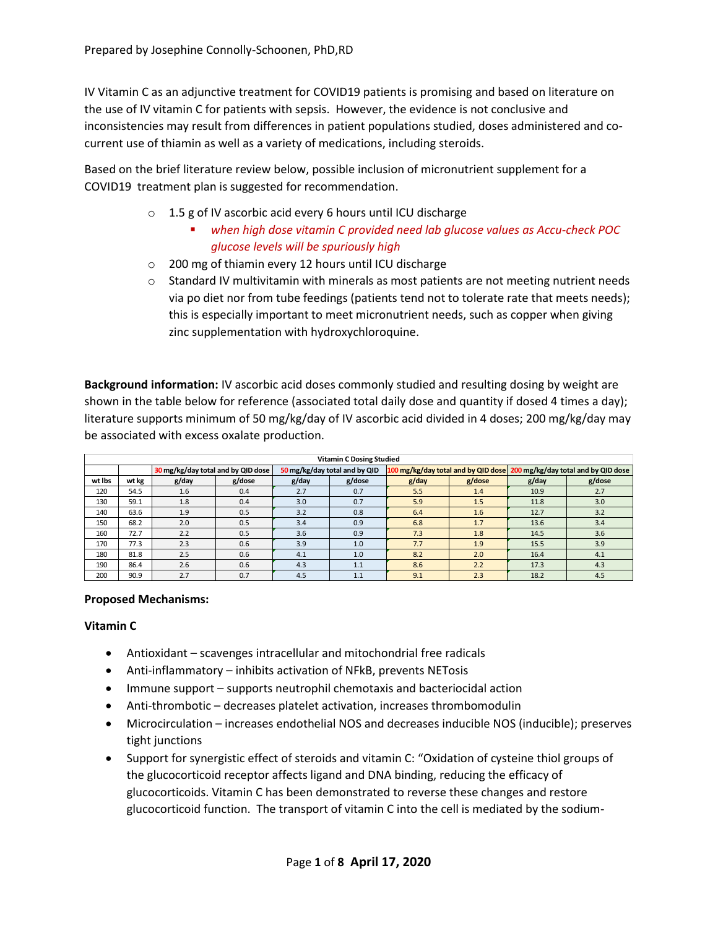IV Vitamin C as an adjunctive treatment for COVID19 patients is promising and based on literature on the use of IV vitamin C for patients with sepsis. However, the evidence is not conclusive and inconsistencies may result from differences in patient populations studied, doses administered and cocurrent use of thiamin as well as a variety of medications, including steroids.

Based on the brief literature review below, possible inclusion of micronutrient supplement for a COVID19 treatment plan is suggested for recommendation.

- o 1.5 g of IV ascorbic acid every 6 hours until ICU discharge
	- *when high dose vitamin C provided need lab glucose values as Accu-check POC glucose levels will be spuriously high*
- o 200 mg of thiamin every 12 hours until ICU discharge
- $\circ$  Standard IV multivitamin with minerals as most patients are not meeting nutrient needs via po diet nor from tube feedings (patients tend not to tolerate rate that meets needs); this is especially important to meet micronutrient needs, such as copper when giving zinc supplementation with hydroxychloroquine.

**Background information:** IV ascorbic acid doses commonly studied and resulting dosing by weight are shown in the table below for reference (associated total daily dose and quantity if dosed 4 times a day); literature supports minimum of 50 mg/kg/day of IV ascorbic acid divided in 4 doses; 200 mg/kg/day may be associated with excess oxalate production.

| <b>Vitamin C Dosing Studied</b> |       |                                    |        |                               |        |          |        |                                                                         |        |  |  |  |
|---------------------------------|-------|------------------------------------|--------|-------------------------------|--------|----------|--------|-------------------------------------------------------------------------|--------|--|--|--|
|                                 |       | 30 mg/kg/day total and by QID dose |        | 50 mg/kg/day total and by QID |        |          |        | 100 mg/kg/day total and by QID dose 200 mg/kg/day total and by QID dose |        |  |  |  |
| wt lbs                          | wt kg | g/day                              | g/dose | g/day                         | g/dose | $g$ /day | g/dose | g/day                                                                   | g/dose |  |  |  |
| 120                             | 54.5  | 1.6                                | 0.4    | 2.7                           | 0.7    | 5.5      | 1.4    | 10.9                                                                    | 2.7    |  |  |  |
| 130                             | 59.1  | 1.8                                | 0.4    | 3.0                           | 0.7    | 5.9      | 1.5    | 11.8                                                                    | 3.0    |  |  |  |
| 140                             | 63.6  | 1.9                                | 0.5    | 3.2                           | 0.8    | 6.4      | 1.6    | 12.7                                                                    | 3.2    |  |  |  |
| 150                             | 68.2  | 2.0                                | 0.5    | 3.4                           | 0.9    | 6.8      | 1.7    | 13.6                                                                    | 3.4    |  |  |  |
| 160                             | 72.7  | 2.2                                | 0.5    | 3.6                           | 0.9    | 7.3      | 1.8    | 14.5                                                                    | 3.6    |  |  |  |
| 170                             | 77.3  | 2.3                                | 0.6    | 3.9                           | 1.0    | 7.7      | 1.9    | 15.5                                                                    | 3.9    |  |  |  |
| 180                             | 81.8  | 2.5                                | 0.6    | 4.1                           | 1.0    | 8.2      | 2.0    | 16.4                                                                    | 4.1    |  |  |  |
| 190                             | 86.4  | 2.6                                | 0.6    | 4.3                           | 1.1    | 8.6      | 2.2    | 17.3                                                                    | 4.3    |  |  |  |
| 200                             | 90.9  | 2.7                                | 0.7    | 4.5                           | 1.1    | 9.1      | 2.3    | 18.2                                                                    | 4.5    |  |  |  |

### **Proposed Mechanisms:**

# **Vitamin C**

- Antioxidant scavenges intracellular and mitochondrial free radicals
- Anti-inflammatory inhibits activation of NFkB, prevents NETosis
- Immune support supports neutrophil chemotaxis and bacteriocidal action
- Anti-thrombotic decreases platelet activation, increases thrombomodulin
- Microcirculation increases endothelial NOS and decreases inducible NOS (inducible); preserves tight junctions
- Support for synergistic effect of steroids and vitamin C: "Oxidation of cysteine thiol groups of the glucocorticoid receptor affects ligand and DNA binding, reducing the efficacy of glucocorticoids. Vitamin C has been demonstrated to reverse these changes and restore glucocorticoid function. The transport of vitamin C into the cell is mediated by the sodium-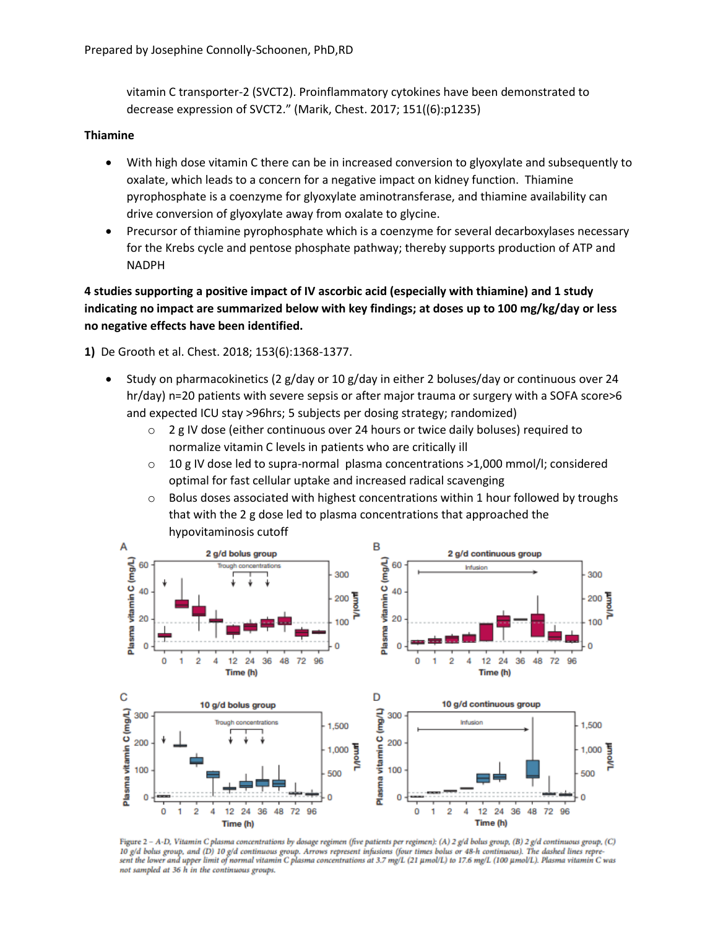vitamin C transporter-2 (SVCT2). Proinflammatory cytokines have been demonstrated to decrease expression of SVCT2." (Marik, Chest. 2017; 151((6):p1235)

#### **Thiamine**

- With high dose vitamin C there can be in increased conversion to glyoxylate and subsequently to oxalate, which leads to a concern for a negative impact on kidney function. Thiamine pyrophosphate is a coenzyme for glyoxylate aminotransferase, and thiamine availability can drive conversion of glyoxylate away from oxalate to glycine.
- Precursor of thiamine pyrophosphate which is a coenzyme for several decarboxylases necessary for the Krebs cycle and pentose phosphate pathway; thereby supports production of ATP and NADPH

**4 studies supporting a positive impact of IV ascorbic acid (especially with thiamine) and 1 study indicating no impact are summarized below with key findings; at doses up to 100 mg/kg/day or less no negative effects have been identified.**

**1)** De Grooth et al. Chest. 2018; 153(6):1368-1377.

- Study on pharmacokinetics (2 g/day or 10 g/day in either 2 boluses/day or continuous over 24 hr/day) n=20 patients with severe sepsis or after major trauma or surgery with a SOFA score>6 and expected ICU stay >96hrs; 5 subjects per dosing strategy; randomized)
	- $\circ$  2 g IV dose (either continuous over 24 hours or twice daily boluses) required to normalize vitamin C levels in patients who are critically ill
	- $\circ$  10 g IV dose led to supra-normal plasma concentrations >1,000 mmol/l; considered optimal for fast cellular uptake and increased radical scavenging
	- $\circ$  Bolus doses associated with highest concentrations within 1 hour followed by troughs that with the 2 g dose led to plasma concentrations that approached the hypovitaminosis cutoff



Figure 2 - A-D, Vitamin C plasma concentrations by dosage regimen (five patients per regimen): (A) 2 g/d bolus group, (B) 2 g/d continuous group, (C) **2** *Page bolus group, and (D)* 10 *g/d continuous group. Arrows represent infusions (four times bolus or 48-h continuous). The dashed lines repre-*<br>sent the lower and upper limit of normal vitamin C plasma concentrations not sampled at 36 h in the continuous groups.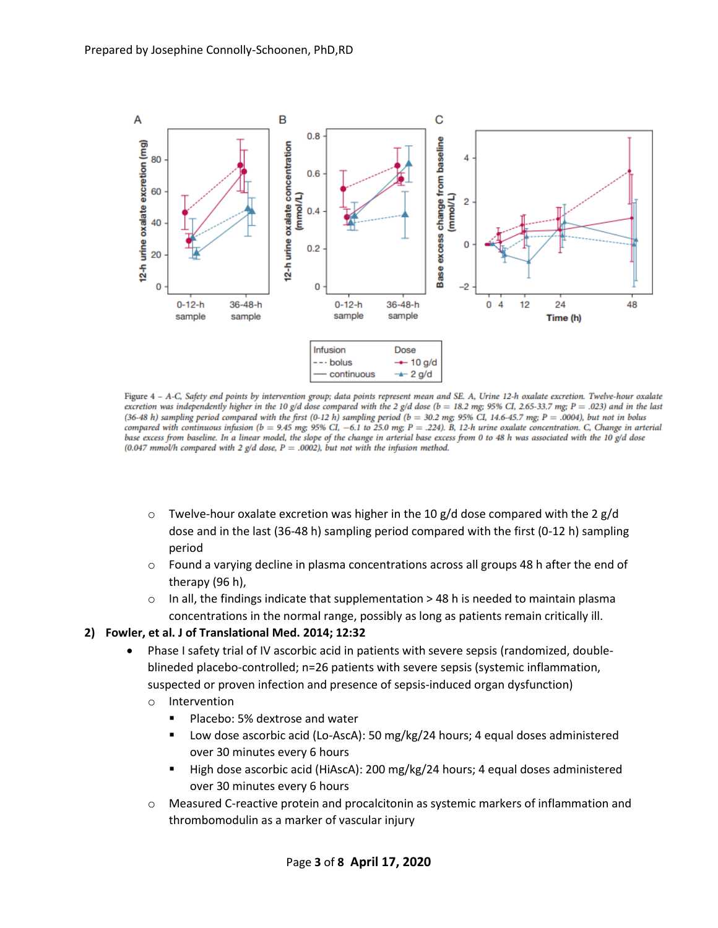

Figure 4 - A-C, Safety end points by intervention group; data points represent mean and SE. A, Urine 12-h oxalate excretion. Twelve-hour oxalate excretion was independently higher in the 10 g/d dose compared with the 2 g/d dose (b = 18.2 mg; 95% CI, 2.65-33.7 mg; P = .023) and in the last (36-48 h) sampling period compared with the first (0-12 h) sampling period (b = 30.2 mg; 95% CI, 14.6-45.7 mg; P = .0004), but not in bolus compared with continuous infusion ( $b = 9.45$  mg; 95% CI, -6.1 to 25.0 mg; P = .224). B, 12-h urine oxalate concentration. C, Change in arterial base excess from baseline. In a linear model, the slope of the change in arterial base excess from 0 to 48 h was associated with the 10 g/d dose (0.047 mmol/h compared with 2 g/d dose,  $P = .0002$ ), but not with the infusion method.

- $\circ$  Twelve-hour oxalate excretion was higher in the 10 g/d dose compared with the 2 g/d dose and in the last (36-48 h) sampling period compared with the first (0-12 h) sampling period
- $\circ$  Found a varying decline in plasma concentrations across all groups 48 h after the end of therapy (96 h),
- o In all, the findings indicate that supplementation > 48 h is needed to maintain plasma concentrations in the normal range, possibly as long as patients remain critically ill.

### **2) Fowler, et al. J of Translational Med. 2014; 12:32**

- Phase I safety trial of IV ascorbic acid in patients with severe sepsis (randomized, doubleblineded placebo-controlled; n=26 patients with severe sepsis (systemic inflammation, suspected or proven infection and presence of sepsis-induced organ dysfunction)
	- o Intervention
		- Placebo: 5% dextrose and water
		- Low dose ascorbic acid (Lo-AscA): 50 mg/kg/24 hours; 4 equal doses administered over 30 minutes every 6 hours
		- High dose ascorbic acid (HiAscA): 200 mg/kg/24 hours; 4 equal doses administered over 30 minutes every 6 hours
	- $\circ$  Measured C-reactive protein and procalcitonin as systemic markers of inflammation and thrombomodulin as a marker of vascular injury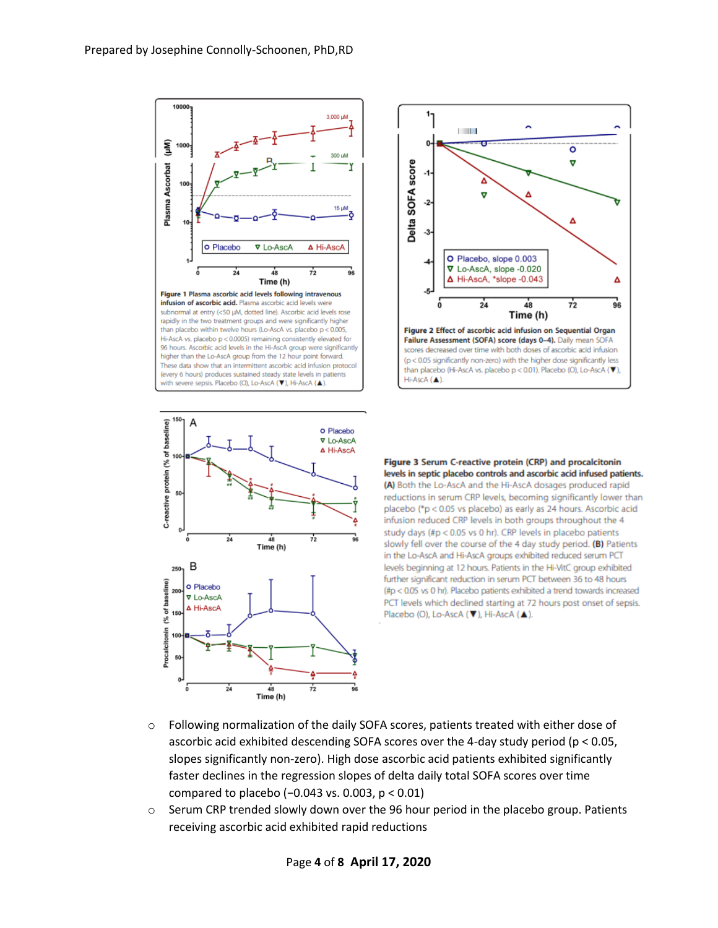





Figure 3 Serum C-reactive protein (CRP) and procalcitonin levels in septic placebo controls and ascorbic acid infused patients. (A) Both the Lo-AscA and the Hi-AscA dosages produced rapid reductions in serum CRP levels, becoming significantly lower than placebo (\*p < 0.05 vs placebo) as early as 24 hours. Ascorbic acid infusion reduced CRP levels in both groups throughout the 4 study days (#p < 0.05 vs 0 hr). CRP levels in placebo patients slowly fell over the course of the 4 day study period. (B) Patients in the Lo-AscA and Hi-AscA groups exhibited reduced serum PCT levels beginning at 12 hours. Patients in the Hi-VitC group exhibited further significant reduction in serum PCT between 36 to 48 hours (#p < 0.05 vs 0 hr). Placebo patients exhibited a trend towards increased PCT levels which declined starting at 72 hours post onset of sepsis. Placebo (O), Lo-AscA (▼), Hi-AscA (▲).

- $\circ$  Following normalization of the daily SOFA scores, patients treated with either dose of ascorbic acid exhibited descending SOFA scores over the 4-day study period (p < 0.05, slopes significantly non-zero). High dose ascorbic acid patients exhibited significantly faster declines in the regression slopes of delta daily total SOFA scores over time compared to placebo (−0.043 vs. 0.003, p < 0.01)
- $\circ$  Serum CRP trended slowly down over the 96 hour period in the placebo group. Patients receiving ascorbic acid exhibited rapid reductions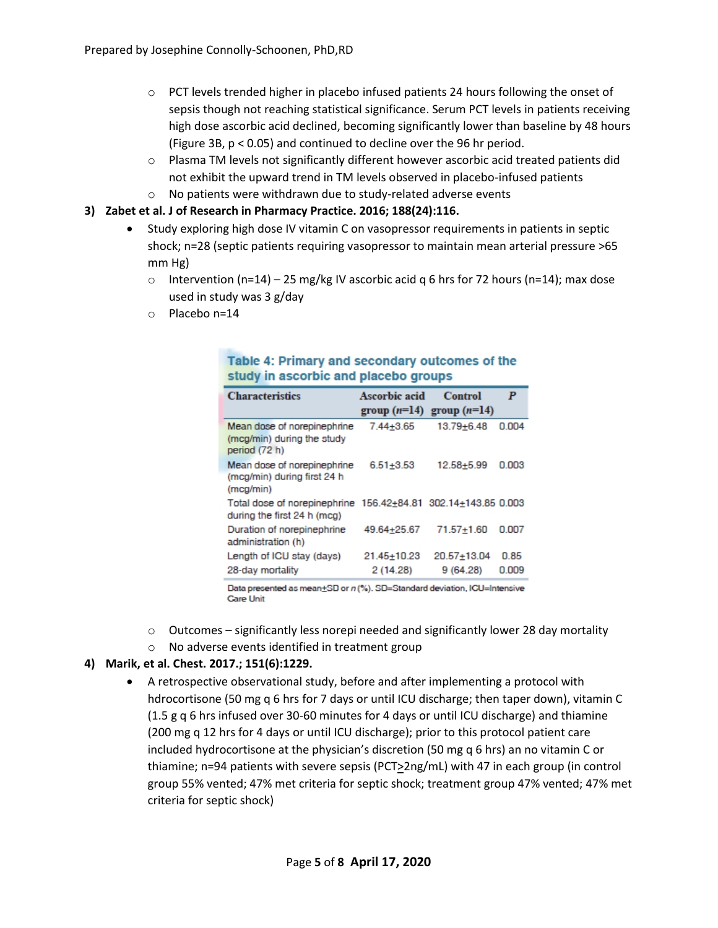- $\circ$  PCT levels trended higher in placebo infused patients 24 hours following the onset of sepsis though not reaching statistical significance. Serum PCT levels in patients receiving high dose ascorbic acid declined, becoming significantly lower than baseline by 48 hours (Figure 3B, p < 0.05) and continued to decline over the 96 hr period.
- o Plasma TM levels not significantly different however ascorbic acid treated patients did not exhibit the upward trend in TM levels observed in placebo-infused patients
- o No patients were withdrawn due to study-related adverse events

## **3) Zabet et al. J of Research in Pharmacy Practice. 2016; 188(24):116.**

- Study exploring high dose IV vitamin C on vasopressor requirements in patients in septic shock; n=28 (septic patients requiring vasopressor to maintain mean arterial pressure >65 mm Hg)
	- $\circ$  Intervention (n=14) 25 mg/kg IV ascorbic acid q 6 hrs for 72 hours (n=14); max dose used in study was 3 g/day
	- o Placebo n=14

| <b>Characteristics</b>                                                                       | Ascorbic acid           | Control<br>group $(n=14)$ group $(n=14)$ | P             |
|----------------------------------------------------------------------------------------------|-------------------------|------------------------------------------|---------------|
| Mean dose of norepinephrine<br>(mcg/min) during the study<br>period (72 h)                   | 7.44+3.65               | $13.79 + 6.48$                           | 0.004         |
| Mean dose of norepinephrine<br>(mcg/min) during first 24 h<br>(mcg/min)                      | $6.51 + 3.53$           | 12.58+5.99                               | 0.003         |
| Total dose of norepinephrine 156.42+84.81 302.14+143.85 0.003<br>during the first 24 h (mcg) |                         |                                          |               |
| Duration of norepinephrine<br>administration (h)                                             | 49.64+25.67             | $71.57 + 1.60$                           | 0.007         |
| Length of ICU stay (days)<br>28-day mortality                                                | 21.45+10.23<br>2(14.28) | $20.57 + 13.04$<br>9(64.28)              | 0.85<br>0.009 |
|                                                                                              |                         |                                          |               |

## Table 4: Primary and secondary outcomes of the study in ascorbic and placebo groups

Data presented as mean+SD or n (%). SD=Standard deviation, ICU=Intensive **Care Unit** 

- $\circ$  Outcomes significantly less norepi needed and significantly lower 28 day mortality
- o No adverse events identified in treatment group

# **4) Marik, et al. Chest. 2017.; 151(6):1229.**

 A retrospective observational study, before and after implementing a protocol with hdrocortisone (50 mg q 6 hrs for 7 days or until ICU discharge; then taper down), vitamin C (1.5 g q 6 hrs infused over 30-60 minutes for 4 days or until ICU discharge) and thiamine (200 mg q 12 hrs for 4 days or until ICU discharge); prior to this protocol patient care included hydrocortisone at the physician's discretion (50 mg q 6 hrs) an no vitamin C or thiamine; n=94 patients with severe sepsis (PCT>2ng/mL) with 47 in each group (in control group 55% vented; 47% met criteria for septic shock; treatment group 47% vented; 47% met criteria for septic shock)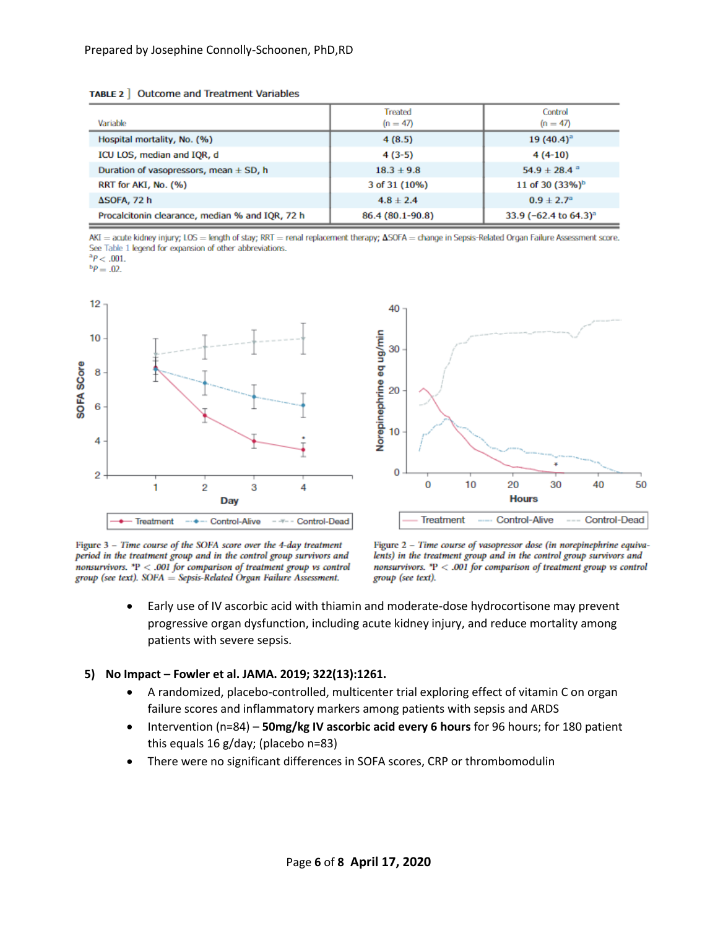TABLE 2 | Outcome and Treatment Variables

| Variable                                        | <b>Treated</b><br>$(n = 47)$ | Control<br>$(n = 47)$                   |  |
|-------------------------------------------------|------------------------------|-----------------------------------------|--|
| Hospital mortality, No. (%)                     | 4(8.5)                       | 19 $(40.4)^{a}$                         |  |
| ICU LOS, median and IQR, d                      | $4(3-5)$                     | $4(4-10)$                               |  |
| Duration of vasopressors, mean ± SD, h          | $18.3 + 9.8$                 | 54.9 ± 28.4 $^{\circ}$                  |  |
| RRT for AKI, No. (%)                            | 3 of 31 (10%)                | 11 of 30 (33%) <sup>b</sup>             |  |
| ΔSOFA, 72 h                                     | $4.8 \pm 2.4$                | $0.9 + 2.7$ <sup>a</sup>                |  |
| Procalcitonin clearance, median % and IQR, 72 h | 86.4 (80.1-90.8)             | 33.9 ( $-62.4$ to $64.3$ ) <sup>3</sup> |  |

AKI = acute kidney injury; LOS = length of stay; RRT = renal replacement therapy;  $\Delta$ SOFA = change in Sepsis-Related Organ Failure Assessment score. See Table 1 legend for expansion of other abbreviations.

 ${}^{a}P<.001$ .

 ${}^{b}P = .02.$ 



Figure 3 - Time course of the SOFA score over the 4-day treatment period in the treatment group and in the control group survivors and nonsurvivors.  $P < .001$  for comparison of treatment group vs control group (see text). SOFA = Sepsis-Related Organ Failure Assessment.

Figure 2 - Time course of vasopressor dose (in norepinephrine equivalents) in the treatment group and in the control group survivors and nonsurvivors.  $P < .001$  for comparison of treatment group vs control group (see text).

 Early use of IV ascorbic acid with thiamin and moderate-dose hydrocortisone may prevent progressive organ dysfunction, including acute kidney injury, and reduce mortality among patients with severe sepsis.

#### **5) No Impact – Fowler et al. JAMA. 2019; 322(13):1261.**

- A randomized, placebo-controlled, multicenter trial exploring effect of vitamin C on organ failure scores and inflammatory markers among patients with sepsis and ARDS
- Intervention (n=84) **50mg/kg IV ascorbic acid every 6 hours** for 96 hours; for 180 patient this equals 16 g/day; (placebo n=83)
- There were no significant differences in SOFA scores, CRP or thrombomodulin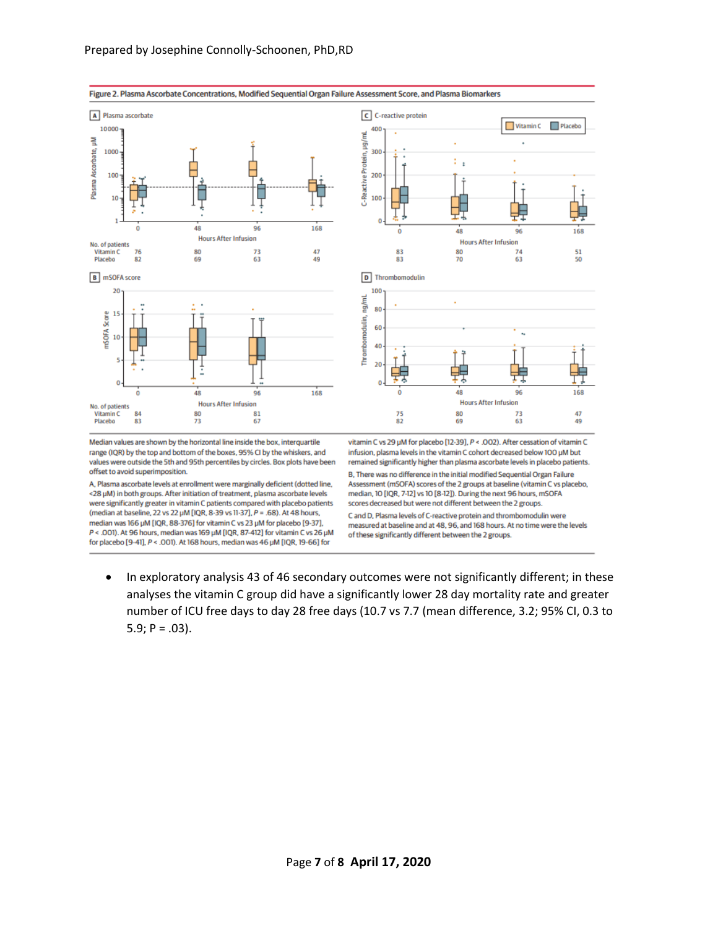



C and D, Plasma levels of C-reactive protein and thrombomodulin were measured at baseline and at 48, 96, and 168 hours. At no time were the levels of these significantly different between the 2 groups.

- 
- In exploratory analysis 43 of 46 secondary outcomes were not significantly different; in these analyses the vitamin C group did have a significantly lower 28 day mortality rate and greater number of ICU free days to day 28 free days (10.7 vs 7.7 (mean difference, 3.2; 95% CI, 0.3 to 5.9;  $P = .03$ ).

Figure 2. Plasma Ascorbate Concentrations, Modified Sequential Organ Failure Assessment Score, and Plasma Biomarkers